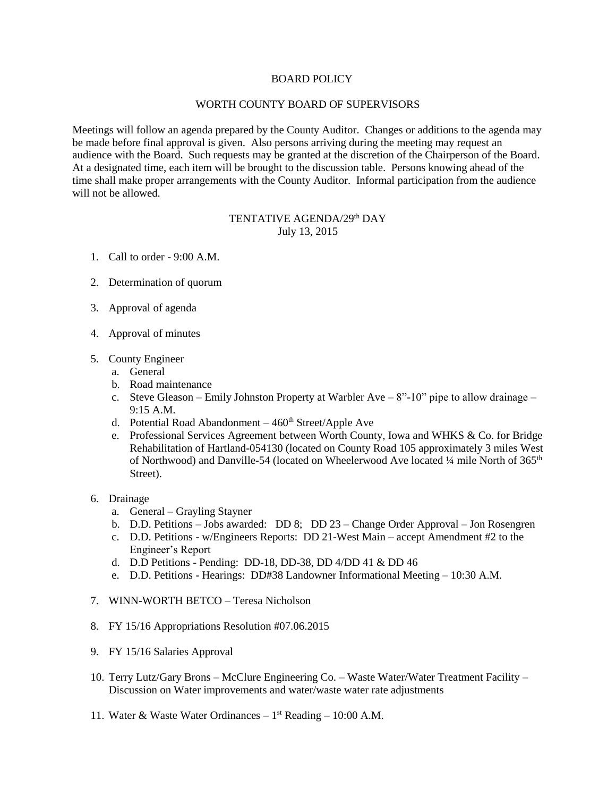## BOARD POLICY

## WORTH COUNTY BOARD OF SUPERVISORS

Meetings will follow an agenda prepared by the County Auditor. Changes or additions to the agenda may be made before final approval is given. Also persons arriving during the meeting may request an audience with the Board. Such requests may be granted at the discretion of the Chairperson of the Board. At a designated time, each item will be brought to the discussion table. Persons knowing ahead of the time shall make proper arrangements with the County Auditor. Informal participation from the audience will not be allowed.

## TENTATIVE AGENDA/29<sup>th</sup> DAY July 13, 2015

- 1. Call to order 9:00 A.M.
- 2. Determination of quorum
- 3. Approval of agenda
- 4. Approval of minutes
- 5. County Engineer
	- a. General
	- b. Road maintenance
	- c. Steve Gleason Emily Johnston Property at Warbler Ave 8"-10" pipe to allow drainage 9:15 A.M.
	- d. Potential Road Abandonment  $-460<sup>th</sup> Street/Apple$  Ave
	- e. Professional Services Agreement between Worth County, Iowa and WHKS & Co. for Bridge Rehabilitation of Hartland-054130 (located on County Road 105 approximately 3 miles West of Northwood) and Danville-54 (located on Wheelerwood Ave located ¼ mile North of 365<sup>th</sup> Street).
- 6. Drainage
	- a. General Grayling Stayner
	- b. D.D. Petitions Jobs awarded: DD 8; DD 23 Change Order Approval Jon Rosengren
	- c. D.D. Petitions w/Engineers Reports: DD 21-West Main accept Amendment #2 to the Engineer's Report
	- d. D.D Petitions Pending: DD-18, DD-38, DD 4/DD 41 & DD 46
	- e. D.D. Petitions Hearings: DD#38 Landowner Informational Meeting 10:30 A.M.
- 7. WINN-WORTH BETCO Teresa Nicholson
- 8. FY 15/16 Appropriations Resolution #07.06.2015
- 9. FY 15/16 Salaries Approval
- 10. Terry Lutz/Gary Brons McClure Engineering Co. Waste Water/Water Treatment Facility Discussion on Water improvements and water/waste water rate adjustments
- 11. Water & Waste Water Ordinances 1 st Reading 10:00 A.M.